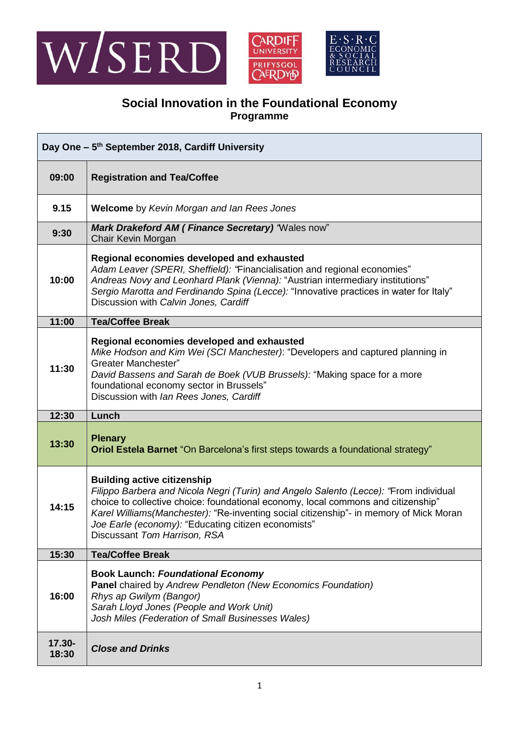



## **Social Innovation in the Foundational Economy Programme**

| Day One - 5 <sup>th</sup> September 2018, Cardiff University |                                                                                                                                                                                                                                                                                                                                                                                                   |
|--------------------------------------------------------------|---------------------------------------------------------------------------------------------------------------------------------------------------------------------------------------------------------------------------------------------------------------------------------------------------------------------------------------------------------------------------------------------------|
| 09:00                                                        | <b>Registration and Tea/Coffee</b>                                                                                                                                                                                                                                                                                                                                                                |
| 9.15                                                         | <b>Welcome</b> by Kevin Morgan and Ian Rees Jones                                                                                                                                                                                                                                                                                                                                                 |
| 9:30                                                         | Mark Drakeford AM (Finance Secretary) 'Wales now"<br>Chair Kevin Morgan                                                                                                                                                                                                                                                                                                                           |
| 10:00                                                        | Regional economies developed and exhausted<br>Adam Leaver (SPERI, Sheffield): "Financialisation and regional economies"<br>Andreas Novy and Leonhard Plank (Vienna): "Austrian intermediary institutions"<br>Sergio Marotta and Ferdinando Spina (Lecce): "Innovative practices in water for Italy"<br>Discussion with Calvin Jones, Cardiff                                                      |
| 11:00                                                        | <b>Tea/Coffee Break</b>                                                                                                                                                                                                                                                                                                                                                                           |
| 11:30                                                        | Regional economies developed and exhausted<br>Mike Hodson and Kim Wei (SCI Manchester): "Developers and captured planning in<br><b>Greater Manchester"</b><br>David Bassens and Sarah de Boek (VUB Brussels): "Making space for a more<br>foundational economy sector in Brussels"<br>Discussion with Ian Rees Jones, Cardiff                                                                     |
| 12:30                                                        | Lunch                                                                                                                                                                                                                                                                                                                                                                                             |
| 13:30                                                        | <b>Plenary</b><br>Oriol Estela Barnet "On Barcelona's first steps towards a foundational strategy"                                                                                                                                                                                                                                                                                                |
| 14:15                                                        | <b>Building active citizenship</b><br>Filippo Barbera and Nicola Negri (Turin) and Angelo Salento (Lecce): "From individual<br>choice to collective choice: foundational economy, local commons and citizenship"<br>Karel Williams(Manchester): "Re-inventing social citizenship"- in memory of Mick Moran<br>Joe Earle (economy): "Educating citizen economists"<br>Discussant Tom Harrison, RSA |
| 15:30                                                        | <b>Tea/Coffee Break</b>                                                                                                                                                                                                                                                                                                                                                                           |
| 16:00                                                        | <b>Book Launch: Foundational Economy</b><br>Panel chaired by Andrew Pendleton (New Economics Foundation)<br>Rhys ap Gwilym (Bangor)<br>Sarah Lloyd Jones (People and Work Unit)<br>Josh Miles (Federation of Small Businesses Wales)                                                                                                                                                              |
| 17.30-<br>18:30                                              | <b>Close and Drinks</b>                                                                                                                                                                                                                                                                                                                                                                           |